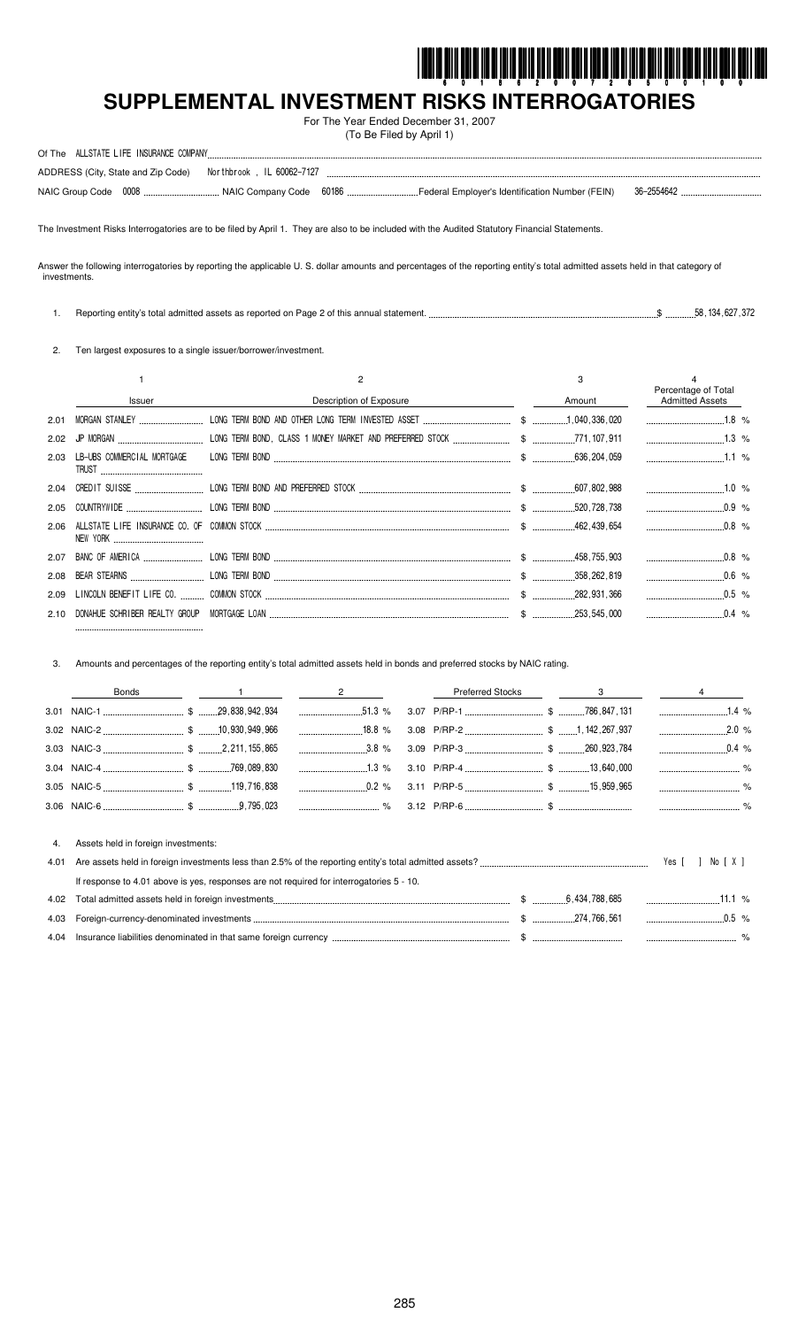

# SUPPLEMENTAL INVESTMENT RISKS INTERROGATORIES

For The Year Ended December 31, 2007 (To Be Filed by April 1)

| ALLSTATE LIFE INSURANCE COMPANY<br>Of The |                            |       |                                                 |            |  |
|-------------------------------------------|----------------------------|-------|-------------------------------------------------|------------|--|
| ADDRESS (City, State and Zip Code)        | Northbrook . IL 60062-7127 |       |                                                 |            |  |
| 0008<br>NAIC Group Code                   | . NAIC Company Code        | 60186 | Federal Employer's Identification Number (FEIN) | 36-2554642 |  |

The Investment Risks Interrogatories are to be filed by April 1. They are also to be included with the Audited Statutory Financial Statements.

Answer the following interrogatories by reporting the applicable U. S. dollar amounts and percentages of the reporting entity's total admitted assets held in that category of investments.

1. Reporting entity's total admitted assets as reported on Page 2 of this annual statement. ...  $\$\$  ... 58, 134, 627, 372

2. Ten largest exposures to a single issuer/borrower/investment.

|      |              |                         |        | Percentage of Total |  |
|------|--------------|-------------------------|--------|---------------------|--|
|      | Issuer       | Description of Exposure | Amount | Admitted Assets     |  |
| 2.01 |              |                         |        |                     |  |
|      |              |                         |        |                     |  |
| 2.03 | <b>TRUST</b> |                         |        |                     |  |
|      |              |                         |        |                     |  |
|      |              |                         |        |                     |  |
|      |              |                         |        | $0.8\%$             |  |
|      |              |                         |        | $\sim$ 0.8 %        |  |
|      |              |                         |        | $0.6$ %             |  |
|      |              |                         |        | $0.5 \%$            |  |
|      |              |                         |        |                     |  |

Amounts and percentages of the reporting entity's total admitted assets held in bonds and preferred stocks by NAIC rating. 3.

|    | Bonds                               |  | $\overline{2}$ |  | Preferred Stocks 3 |                  |  |
|----|-------------------------------------|--|----------------|--|--------------------|------------------|--|
|    |                                     |  |                |  |                    |                  |  |
|    |                                     |  |                |  |                    | $2.0\%$          |  |
|    |                                     |  |                |  |                    |                  |  |
|    |                                     |  |                |  |                    |                  |  |
|    |                                     |  |                |  |                    |                  |  |
|    |                                     |  |                |  |                    |                  |  |
| 4. | Assets held in foreign investments: |  |                |  |                    |                  |  |
|    |                                     |  |                |  |                    | Yes [ ] No [ X ] |  |

| If response to 4.01 above is yes, responses are not required for interrogatories 5 - 10. |                  |                  |  |
|------------------------------------------------------------------------------------------|------------------|------------------|--|
|                                                                                          | \$ 6,434,788.685 | 11.1 $%$         |  |
|                                                                                          | \$ 274.766.561   | $0.5 \gamma_{c}$ |  |
|                                                                                          |                  |                  |  |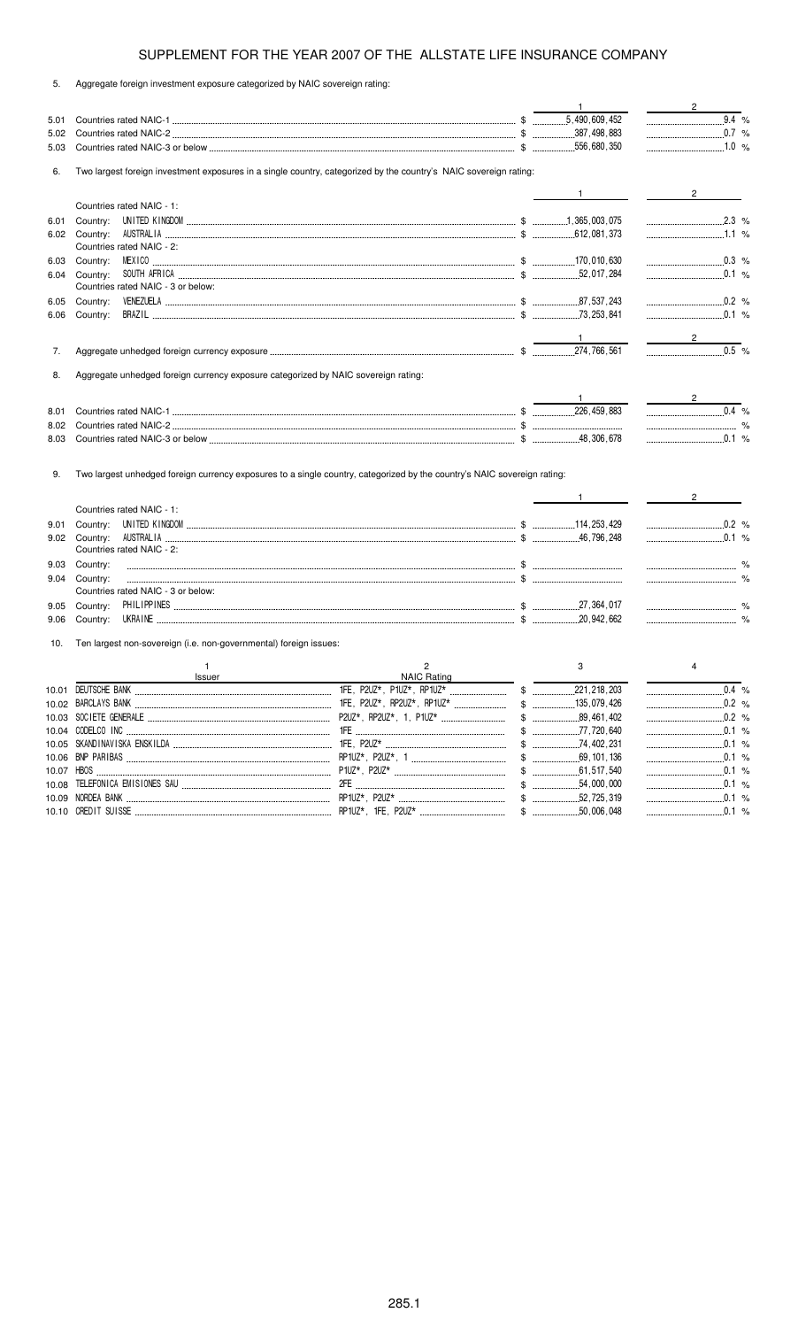5. Aggregate foreign investment exposure categorized by NAIC sovereign rating:

|      |                                                                                                                          | $\mathbf{1}$ | $\overline{2}$                                            |
|------|--------------------------------------------------------------------------------------------------------------------------|--------------|-----------------------------------------------------------|
| 5.01 |                                                                                                                          |              | $\overline{9.4}$ %                                        |
| 5.02 |                                                                                                                          |              | $0.7\%$                                                   |
| 5.03 |                                                                                                                          |              | $1.0 \%$                                                  |
| 6.   | Two largest foreign investment exposures in a single country, categorized by the country's NAIC sovereign rating:        |              |                                                           |
|      |                                                                                                                          | $\mathbf{1}$ | $2^{\circ}$                                               |
|      | Countries rated NAIC - 1:                                                                                                |              |                                                           |
| 6.01 |                                                                                                                          |              | $\ldots$ 2.3 %                                            |
|      |                                                                                                                          |              | $1.1\%$                                                   |
|      | Countries rated NAIC - 2:                                                                                                |              |                                                           |
| 6.03 |                                                                                                                          |              | $0.3$ %                                                   |
| 6.04 | Country: SOUTH AFRICA  284                                                                                               |              | $\ldots$ 0.1 %                                            |
|      | Countries rated NAIC - 3 or below:                                                                                       |              |                                                           |
| 6.05 | Country:                                                                                                                 |              | $\ldots$ 0.2 %                                            |
| 6.06 | Country:                                                                                                                 |              | $\ldots$ 0.1 %                                            |
|      |                                                                                                                          |              | $\overline{2}$                                            |
| 7.   |                                                                                                                          |              |                                                           |
| 8.   | Aggregate unhedged foreign currency exposure categorized by NAIC sovereign rating:                                       |              |                                                           |
|      |                                                                                                                          |              | $\mathcal{L}^{\text{max}}$ and $\mathcal{L}^{\text{max}}$ |
| 8.01 |                                                                                                                          |              | $0.4 %$                                                   |
| 8.02 |                                                                                                                          |              | $\sim$ $\sim$ $\sim$ $\sim$                               |
| 8.03 |                                                                                                                          |              | $0.1 \%$                                                  |
|      |                                                                                                                          |              |                                                           |
| 9.   | Two largest unhedged foreign currency exposures to a single country, categorized by the country's NAIC sovereign rating: |              |                                                           |
|      |                                                                                                                          | $\mathbf{1}$ | $2 \left( \frac{1}{2} \right)$                            |
|      | Countries rated NAIC - 1:                                                                                                |              |                                                           |
| 9.01 | Country:                                                                                                                 |              | $\ldots$ 0.2 %                                            |
| 9.02 | Country:                                                                                                                 |              | $\ldots$ 0.1 %                                            |
|      | Countries rated NAIC - 2:                                                                                                |              |                                                           |
| 9.03 | Country:                                                                                                                 |              |                                                           |
| 9.04 | Country:                                                                                                                 |              | $\sim$ $\sim$ $\sim$ $\sim$ $\sim$ $\sim$                 |
|      | Countries rated NAIC - 3 or below:                                                                                       |              |                                                           |
| 9.05 | Country:                                                                                                                 |              |                                                           |
|      | 9.06 Country:                                                                                                            |              |                                                           |

10. Ten largest non-sovereign (i.e. non-governmental) foreign issues:

| <b>Issuer</b> | NAIC Rating |  |  |
|---------------|-------------|--|--|
|               |             |  |  |
|               |             |  |  |
|               |             |  |  |
|               |             |  |  |
|               |             |  |  |
|               |             |  |  |
|               |             |  |  |
|               |             |  |  |
|               |             |  |  |
|               |             |  |  |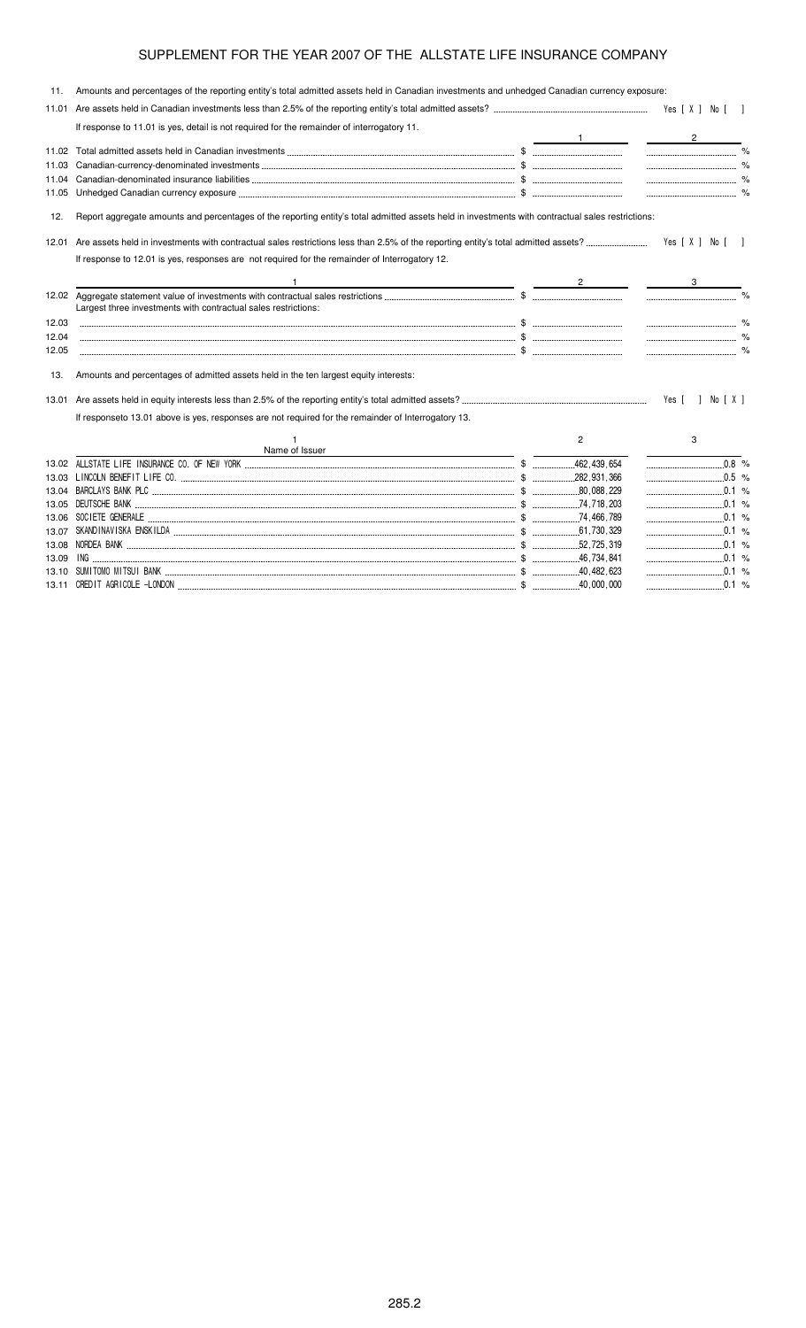| 11.   | Amounts and percentages of the reporting entity's total admitted assets held in Canadian investments and unhedged Canadian currency exposure:                                                                                                                                                                                                       |                |                    |
|-------|-----------------------------------------------------------------------------------------------------------------------------------------------------------------------------------------------------------------------------------------------------------------------------------------------------------------------------------------------------|----------------|--------------------|
| 11.01 |                                                                                                                                                                                                                                                                                                                                                     |                |                    |
|       | If response to 11.01 is yes, detail is not required for the remainder of interrogatory 11.                                                                                                                                                                                                                                                          |                | $2^{\circ}$        |
|       |                                                                                                                                                                                                                                                                                                                                                     |                |                    |
| 11.03 |                                                                                                                                                                                                                                                                                                                                                     |                |                    |
| 11.04 |                                                                                                                                                                                                                                                                                                                                                     |                |                    |
| 11.05 |                                                                                                                                                                                                                                                                                                                                                     |                |                    |
| 12.   | Report aggregate amounts and percentages of the reporting entity's total admitted assets held in investments with contractual sales restrictions:                                                                                                                                                                                                   |                |                    |
| 12.01 |                                                                                                                                                                                                                                                                                                                                                     |                | Yes [X ] No [ ]    |
|       | If response to 12.01 is yes, responses are not required for the remainder of Interrogatory 12.                                                                                                                                                                                                                                                      |                |                    |
|       | $\overbrace{2}$ and $\overbrace{3}$ and $\overbrace{2}$ and $\overbrace{3}$ and $\overbrace{2}$ and $\overbrace{3}$ and $\overbrace{3}$ and $\overbrace{2}$ and $\overbrace{3}$ and $\overbrace{3}$ and $\overbrace{3}$ and $\overbrace{3}$ and $\overbrace{3}$ and $\overbrace{3}$ and $\overbrace{3}$ and $\overbrace{3}$ and $\overbrace{3}$ and |                |                    |
|       | Largest three investments with contractual sales restrictions:                                                                                                                                                                                                                                                                                      |                |                    |
| 12.03 |                                                                                                                                                                                                                                                                                                                                                     |                |                    |
| 12.04 |                                                                                                                                                                                                                                                                                                                                                     |                |                    |
| 12.05 |                                                                                                                                                                                                                                                                                                                                                     |                |                    |
| 13.   | Amounts and percentages of admitted assets held in the ten largest equity interests:                                                                                                                                                                                                                                                                |                |                    |
| 13.01 |                                                                                                                                                                                                                                                                                                                                                     |                | Yes [ ] No [ X ]   |
|       | If responseto 13.01 above is yes, responses are not required for the remainder of Interrogatory 13.                                                                                                                                                                                                                                                 |                |                    |
|       | Name of Issuer                                                                                                                                                                                                                                                                                                                                      | $\overline{2}$ | 3                  |
|       |                                                                                                                                                                                                                                                                                                                                                     |                | $\overline{0.8}$ % |
|       |                                                                                                                                                                                                                                                                                                                                                     |                |                    |
|       |                                                                                                                                                                                                                                                                                                                                                     |                | 0.1 %              |
|       |                                                                                                                                                                                                                                                                                                                                                     |                | $\ldots$ 0.1 %     |
|       |                                                                                                                                                                                                                                                                                                                                                     |                | $0.1$ %            |
|       |                                                                                                                                                                                                                                                                                                                                                     |                | 0.1 %              |
|       |                                                                                                                                                                                                                                                                                                                                                     |                |                    |
| 13.09 |                                                                                                                                                                                                                                                                                                                                                     |                |                    |
|       |                                                                                                                                                                                                                                                                                                                                                     |                |                    |

13.11 CREDIT AGRICOLE -LONDON ........

' \*\$ \$ " %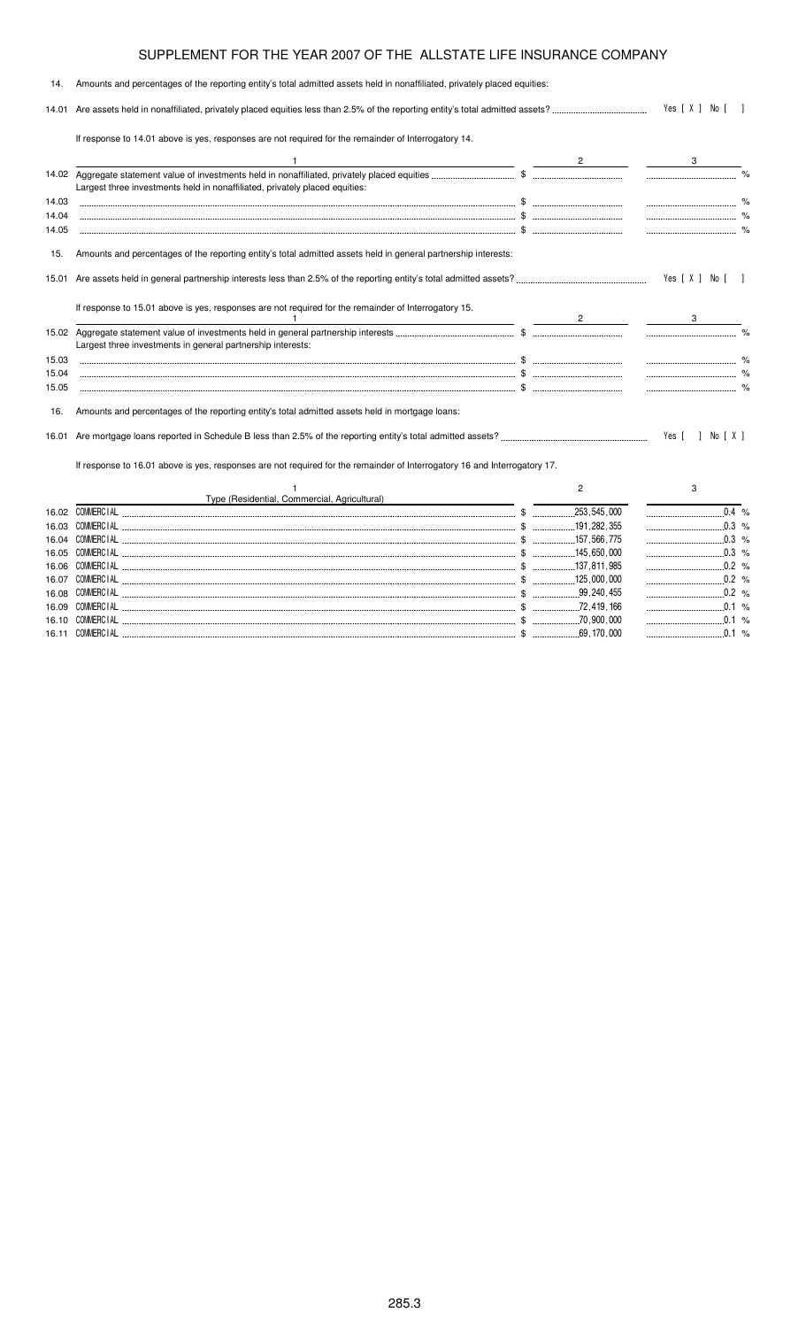| 14.   | Amounts and percentages of the reporting entity's total admitted assets held in nonaffiliated, privately placed equities:                                                               |                |                      |  |
|-------|-----------------------------------------------------------------------------------------------------------------------------------------------------------------------------------------|----------------|----------------------|--|
|       |                                                                                                                                                                                         |                | Yes [ X ] No [ ]     |  |
|       | If response to 14.01 above is yes, responses are not required for the remainder of Interrogatory 14.                                                                                    |                |                      |  |
|       |                                                                                                                                                                                         |                |                      |  |
|       | Largest three investments held in nonaffiliated, privately placed equities:                                                                                                             |                |                      |  |
| 14.03 |                                                                                                                                                                                         |                |                      |  |
| 14.04 |                                                                                                                                                                                         |                | $\sim$ $\sim$ $\sim$ |  |
| 14.05 |                                                                                                                                                                                         |                |                      |  |
| 15.   | Amounts and percentages of the reporting entity's total admitted assets held in general partnership interests:                                                                          |                |                      |  |
|       |                                                                                                                                                                                         |                | Yes [ X ] No [ ]     |  |
|       | If response to 15.01 above is yes, responses are not required for the remainder of Interrogatory 15.<br>the contract of the contract of the contract of the contract of the contract of |                |                      |  |
|       |                                                                                                                                                                                         |                |                      |  |
|       | Largest three investments in general partnership interests:                                                                                                                             |                |                      |  |
| 15.03 |                                                                                                                                                                                         |                |                      |  |
| 15.04 |                                                                                                                                                                                         |                |                      |  |
| 15.05 |                                                                                                                                                                                         |                |                      |  |
| 16.   | Amounts and percentages of the reporting entity's total admitted assets held in mortgage loans:                                                                                         |                |                      |  |
|       |                                                                                                                                                                                         |                |                      |  |
|       | If response to 16.01 above is yes, responses are not required for the remainder of Interrogatory 16 and Interrogatory 17.                                                               |                |                      |  |
|       |                                                                                                                                                                                         | $\overline{2}$ | 3                    |  |
|       | Type (Residential, Commercial, Agricultural)                                                                                                                                            |                |                      |  |
|       |                                                                                                                                                                                         |                | $\overline{0.4}$ %   |  |
| 16.03 |                                                                                                                                                                                         |                | $\ldots$ 0.3 %       |  |
| 16.04 |                                                                                                                                                                                         |                |                      |  |
| 16.05 |                                                                                                                                                                                         |                |                      |  |
|       |                                                                                                                                                                                         |                | $0.2 %$              |  |

16.09  \$ %

\$ %

\$ %

 $\frac{1}{2}$   $\frac{1}{200}$  , 000

\$ %

16.07 COMMERC

16.08 COMMERC

16.10 COMMERC

16.11 COMMERC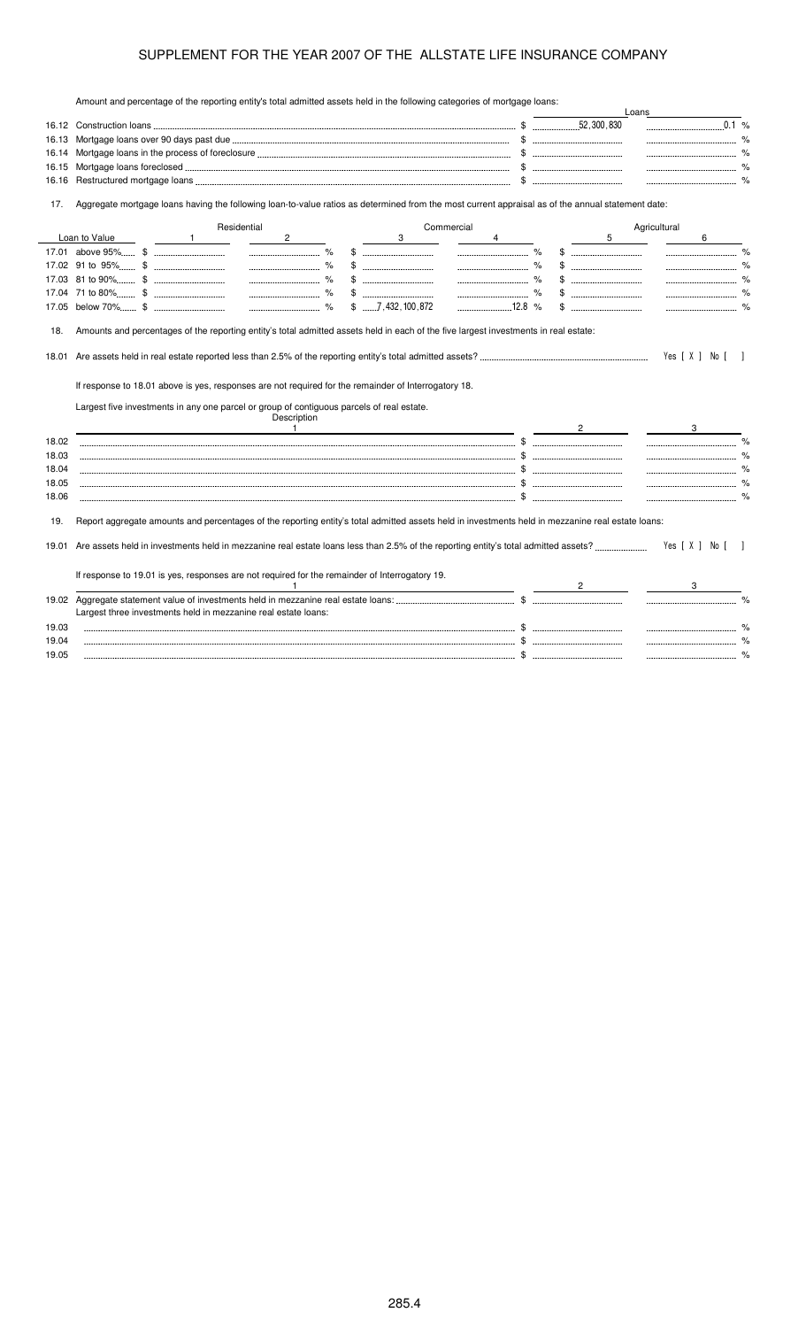Amount and percentage of the reporting entity's total admitted assets held in the following categories of mortgage loans:

|                       |                                                                                                                                                   |              |             |                |                         |            |                                                                                                                                         |                |   |              | $0.1$ %          |
|-----------------------|---------------------------------------------------------------------------------------------------------------------------------------------------|--------------|-------------|----------------|-------------------------|------------|-----------------------------------------------------------------------------------------------------------------------------------------|----------------|---|--------------|------------------|
| 16.13                 |                                                                                                                                                   |              |             |                |                         |            |                                                                                                                                         |                |   |              | $\%$             |
| 16.14                 |                                                                                                                                                   |              |             |                |                         |            |                                                                                                                                         |                |   |              |                  |
| 16.15                 |                                                                                                                                                   |              |             |                |                         |            |                                                                                                                                         |                |   |              |                  |
| 16.16                 |                                                                                                                                                   |              |             |                |                         |            |                                                                                                                                         |                |   |              |                  |
| 17.                   | Aggregate mortgage loans having the following loan-to-value ratios as determined from the most current appraisal as of the annual statement date: |              |             |                |                         |            |                                                                                                                                         |                |   |              |                  |
|                       |                                                                                                                                                   |              | Residential |                |                         | Commercial |                                                                                                                                         |                |   | Agricultural |                  |
|                       | Loan to Value                                                                                                                                     | $\mathbf{1}$ |             | $\overline{2}$ | 3                       |            | 4                                                                                                                                       |                | 5 |              | 6                |
|                       |                                                                                                                                                   |              |             | $\%$           |                         |            | $\begin{array}{ccc}\n&\circ & \circ & \circ & \circ \\ & \circ & \circ & \circ & \circ \\ & \circ & \circ & \circ & \circ\n\end{array}$ |                |   |              |                  |
|                       |                                                                                                                                                   |              |             |                |                         |            |                                                                                                                                         |                |   |              |                  |
|                       |                                                                                                                                                   |              |             | $\%$           |                         |            |                                                                                                                                         |                |   |              |                  |
|                       |                                                                                                                                                   |              |             | $\%$           |                         |            |                                                                                                                                         |                |   |              |                  |
|                       |                                                                                                                                                   |              |             |                | $$ \dots 7,432,100,872$ |            |                                                                                                                                         |                |   |              |                  |
|                       | If response to 18.01 above is yes, responses are not required for the remainder of Interrogatory 18.                                              |              |             |                |                         |            |                                                                                                                                         |                |   |              | Yes [ X ] No [ ] |
|                       | Largest five investments in any one parcel or group of contiguous parcels of real estate.                                                         |              |             | Description    |                         |            |                                                                                                                                         |                |   |              |                  |
|                       |                                                                                                                                                   |              |             | $\overline{1}$ |                         |            |                                                                                                                                         | $\overline{2}$ |   |              | 3                |
| 18.02                 |                                                                                                                                                   |              |             |                |                         |            |                                                                                                                                         |                |   |              |                  |
|                       |                                                                                                                                                   |              |             |                |                         |            |                                                                                                                                         |                |   |              |                  |
| 18.03<br>18.04        |                                                                                                                                                   |              |             |                |                         |            |                                                                                                                                         |                |   |              |                  |
|                       |                                                                                                                                                   |              |             |                |                         |            |                                                                                                                                         |                |   |              |                  |
|                       | Report aggregate amounts and percentages of the reporting entity's total admitted assets held in investments held in mezzanine real estate loans: |              |             |                |                         |            |                                                                                                                                         |                |   |              |                  |
|                       |                                                                                                                                                   |              |             |                |                         |            |                                                                                                                                         |                |   |              | Yes [ X ] No [   |
| 18.05<br>18.06<br>19. | If response to 19.01 is yes, responses are not required for the remainder of Interrogatory 19.                                                    |              |             |                |                         |            |                                                                                                                                         |                |   |              |                  |
|                       |                                                                                                                                                   |              |             | -1             |                         |            |                                                                                                                                         |                |   |              |                  |
|                       |                                                                                                                                                   |              |             |                |                         |            |                                                                                                                                         |                |   |              |                  |
| 19.02                 | Largest three investments held in mezzanine real estate loans:                                                                                    |              |             |                |                         |            |                                                                                                                                         |                |   |              |                  |
| 19.03<br>19.04        |                                                                                                                                                   |              |             |                |                         |            |                                                                                                                                         |                |   |              |                  |